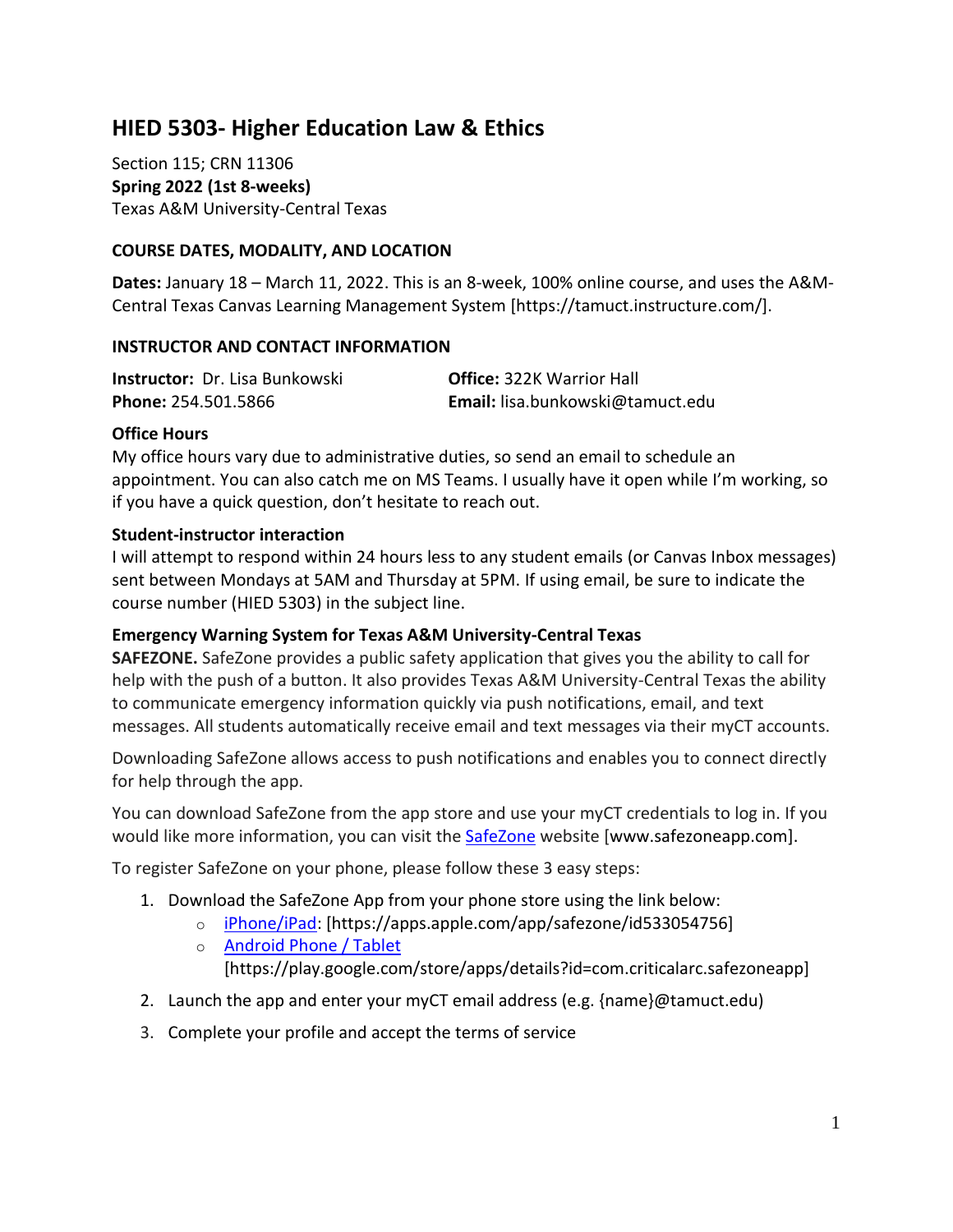# **HIED 5303- Higher Education Law & Ethics**

Section 115; CRN 11306 **Spring 2022 (1st 8-weeks)** Texas A&M University-Central Texas

#### **COURSE DATES, MODALITY, AND LOCATION**

**Dates:** January 18 – March 11, 2022. This is an 8-week, 100% online course, and uses the A&M-Central Texas Canvas Learning Management System [https://tamuct.instructure.com/].

#### **INSTRUCTOR AND CONTACT INFORMATION**

| <b>Instructor:</b> Dr. Lisa Bunkowski | <b>Office: 322K Warrior Hall</b> |
|---------------------------------------|----------------------------------|
| Phone: 254.501.5866                   | Email: lisa.bunkowski@tamuct.edu |

#### **Office Hours**

My office hours vary due to administrative duties, so send an email to schedule an appointment. You can also catch me on MS Teams. I usually have it open while I'm working, so if you have a quick question, don't hesitate to reach out.

#### **Student-instructor interaction**

I will attempt to respond within 24 hours less to any student emails (or Canvas Inbox messages) sent between Mondays at 5AM and Thursday at 5PM. If using email, be sure to indicate the course number (HIED 5303) in the subject line.

#### **Emergency Warning System for Texas A&M University-Central Texas**

**SAFEZONE.** SafeZone provides a public safety application that gives you the ability to call for help with the push of a button. It also provides Texas A&M University-Central Texas the ability to communicate emergency information quickly via push notifications, email, and text messages. All students automatically receive email and text messages via their myCT accounts.

Downloading SafeZone allows access to push notifications and enables you to connect directly for help through the app.

You can download SafeZone from the app store and use your myCT credentials to log in. If you would like more information, you can visit the **[SafeZone](http://www.safezoneapp.com/) website [www.safezoneapp.com]**.

To register SafeZone on your phone, please follow these 3 easy steps:

- 1. Download the SafeZone App from your phone store using the link below:
	- o [iPhone/iPad:](https://apps.apple.com/app/safezone/id533054756) [https://apps.apple.com/app/safezone/id533054756]
	- o [Android Phone / Tablet](https://play.google.com/store/apps/details?id=com.criticalarc.safezoneapp) [https://play.google.com/store/apps/details?id=com.criticalarc.safezoneapp]
- 2. Launch the app and enter your myCT email address (e.g. {name}@tamuct.edu)
- 3. Complete your profile and accept the terms of service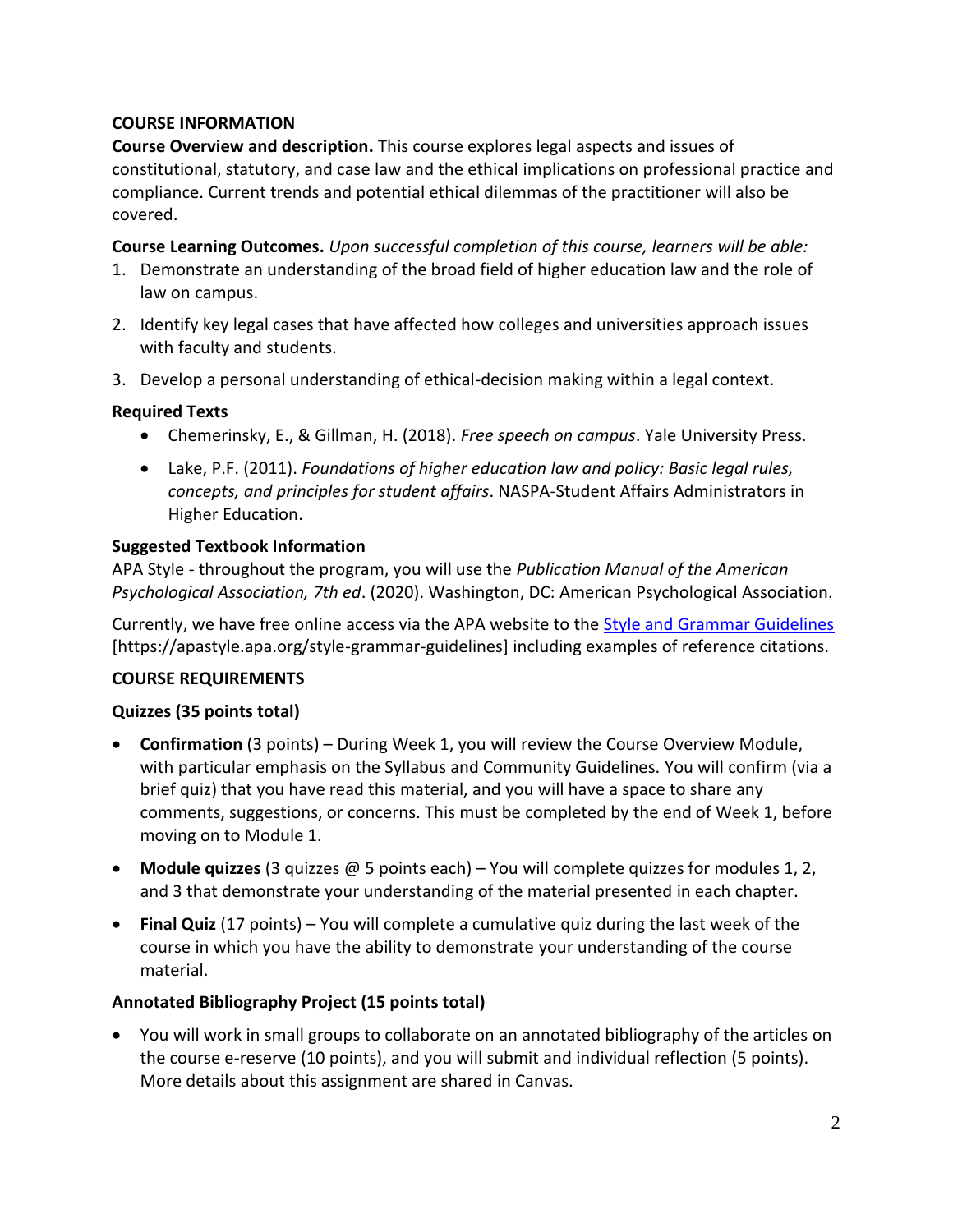## **COURSE INFORMATION**

**Course Overview and description.** This course explores legal aspects and issues of constitutional, statutory, and case law and the ethical implications on professional practice and compliance. Current trends and potential ethical dilemmas of the practitioner will also be covered.

**Course Learning Outcomes.** *Upon successful completion of this course, learners will be able:* 

- 1. Demonstrate an understanding of the broad field of higher education law and the role of law on campus.
- 2. Identify key legal cases that have affected how colleges and universities approach issues with faculty and students.
- 3. Develop a personal understanding of ethical-decision making within a legal context.

#### **Required Texts**

- Chemerinsky, E., & Gillman, H. (2018). *Free speech on campus*. Yale University Press.
- Lake, P.F. (2011). *Foundations of higher education law and policy: Basic legal rules, concepts, and principles for student affairs*. NASPA-Student Affairs Administrators in Higher Education.

#### **Suggested Textbook Information**

APA Style - throughout the program, you will use the *Publication Manual of the American Psychological Association, 7th ed*. (2020). Washington, DC: American Psychological Association.

Currently, we have free online access via the APA website to the [Style and Grammar Guidelines](https://apastyle.apa.org/style-grammar-guidelines) [https://apastyle.apa.org/style-grammar-guidelines] including examples of reference citations.

## **COURSE REQUIREMENTS**

## **Quizzes (35 points total)**

- **Confirmation** (3 points) During Week 1, you will review the Course Overview Module, with particular emphasis on the Syllabus and Community Guidelines. You will confirm (via a brief quiz) that you have read this material, and you will have a space to share any comments, suggestions, or concerns. This must be completed by the end of Week 1, before moving on to Module 1.
- **Module quizzes** (3 quizzes @ 5 points each) You will complete quizzes for modules 1, 2, and 3 that demonstrate your understanding of the material presented in each chapter.
- **Final Quiz** (17 points) You will complete a cumulative quiz during the last week of the course in which you have the ability to demonstrate your understanding of the course material.

## **Annotated Bibliography Project (15 points total)**

 You will work in small groups to collaborate on an annotated bibliography of the articles on the course e-reserve (10 points), and you will submit and individual reflection (5 points). More details about this assignment are shared in Canvas.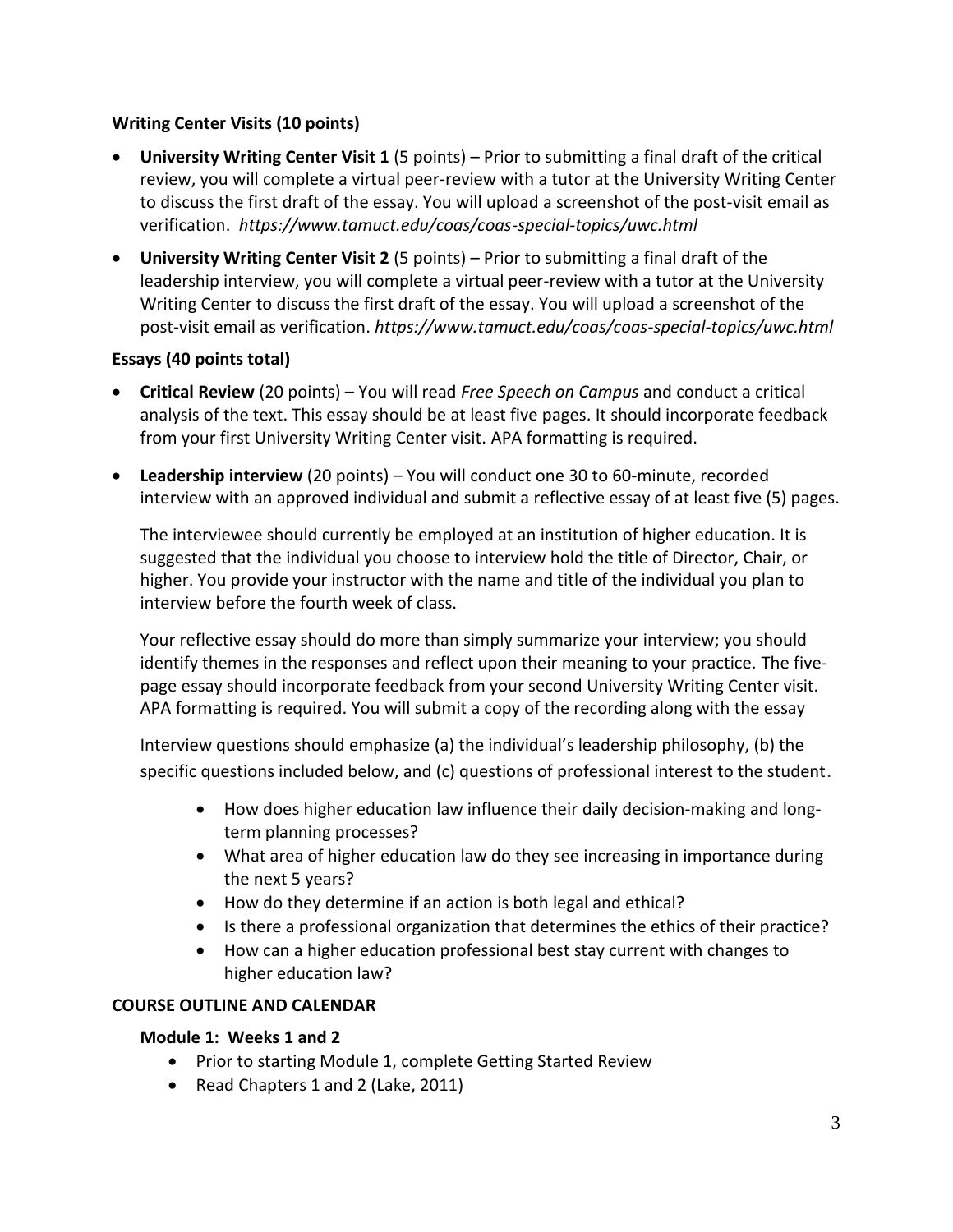## **Writing Center Visits (10 points)**

- **University Writing Center Visit 1** (5 points) Prior to submitting a final draft of the critical review, you will complete a virtual peer-review with a tutor at the University Writing Center to discuss the first draft of the essay. You will upload a screenshot of the post-visit email as verification. *https://www.tamuct.edu/coas/coas-special-topics/uwc.html*
- **University Writing Center Visit 2** (5 points) Prior to submitting a final draft of the leadership interview, you will complete a virtual peer-review with a tutor at the University Writing Center to discuss the first draft of the essay. You will upload a screenshot of the post-visit email as verification. *https://www.tamuct.edu/coas/coas-special-topics/uwc.html*

## **Essays (40 points total)**

- **Critical Review** (20 points) You will read *Free Speech on Campus* and conduct a critical analysis of the text. This essay should be at least five pages. It should incorporate feedback from your first University Writing Center visit. APA formatting is required.
- **Leadership interview** (20 points) You will conduct one 30 to 60-minute, recorded interview with an approved individual and submit a reflective essay of at least five (5) pages.

The interviewee should currently be employed at an institution of higher education. It is suggested that the individual you choose to interview hold the title of Director, Chair, or higher. You provide your instructor with the name and title of the individual you plan to interview before the fourth week of class.

Your reflective essay should do more than simply summarize your interview; you should identify themes in the responses and reflect upon their meaning to your practice. The fivepage essay should incorporate feedback from your second University Writing Center visit. APA formatting is required. You will submit a copy of the recording along with the essay

Interview questions should emphasize (a) the individual's leadership philosophy, (b) the specific questions included below, and (c) questions of professional interest to the student.

- How does higher education law influence their daily decision-making and longterm planning processes?
- What area of higher education law do they see increasing in importance during the next 5 years?
- How do they determine if an action is both legal and ethical?
- Is there a professional organization that determines the ethics of their practice?
- How can a higher education professional best stay current with changes to higher education law?

## **COURSE OUTLINE AND CALENDAR**

## **Module 1: Weeks 1 and 2**

- Prior to starting Module 1, complete Getting Started Review
- Read Chapters 1 and 2 (Lake, 2011)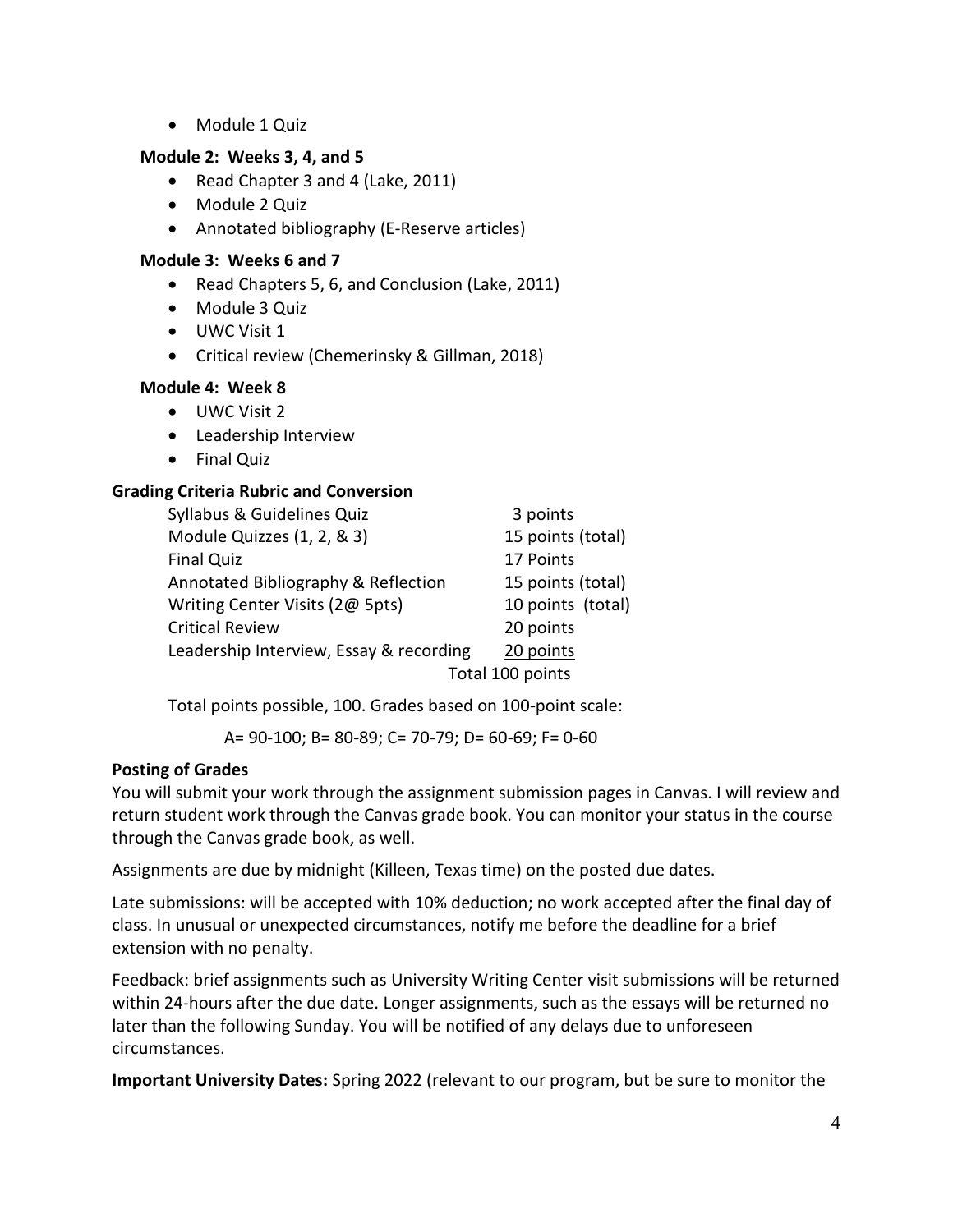• Module 1 Quiz

## **Module 2: Weeks 3, 4, and 5**

- Read Chapter 3 and 4 (Lake, 2011)
- Module 2 Quiz
- Annotated bibliography (E-Reserve articles)

#### **Module 3: Weeks 6 and 7**

- Read Chapters 5, 6, and Conclusion (Lake, 2011)
- Module 3 Quiz
- UWC Visit 1
- Critical review (Chemerinsky & Gillman, 2018)

#### **Module 4: Week 8**

- UWC Visit 2
- Leadership Interview
- Final Quiz

## **Grading Criteria Rubric and Conversion**

| Syllabus & Guidelines Quiz              | 3 points          |
|-----------------------------------------|-------------------|
| Module Quizzes (1, 2, & 3)              | 15 points (total) |
| <b>Final Quiz</b>                       | 17 Points         |
| Annotated Bibliography & Reflection     | 15 points (total) |
| Writing Center Visits (2@ 5pts)         | 10 points (total) |
| <b>Critical Review</b>                  | 20 points         |
| Leadership Interview, Essay & recording | 20 points         |
| Total 100 points                        |                   |

Total points possible, 100. Grades based on 100-point scale:

A= 90-100; B= 80-89; C= 70-79; D= 60-69; F= 0-60

## **Posting of Grades**

You will submit your work through the assignment submission pages in Canvas. I will review and return student work through the Canvas grade book. You can monitor your status in the course through the Canvas grade book, as well.

Assignments are due by midnight (Killeen, Texas time) on the posted due dates.

Late submissions: will be accepted with 10% deduction; no work accepted after the final day of class. In unusual or unexpected circumstances, notify me before the deadline for a brief extension with no penalty.

Feedback: brief assignments such as University Writing Center visit submissions will be returned within 24-hours after the due date. Longer assignments, such as the essays will be returned no later than the following Sunday. You will be notified of any delays due to unforeseen circumstances.

**Important University Dates:** Spring 2022 (relevant to our program, but be sure to monitor the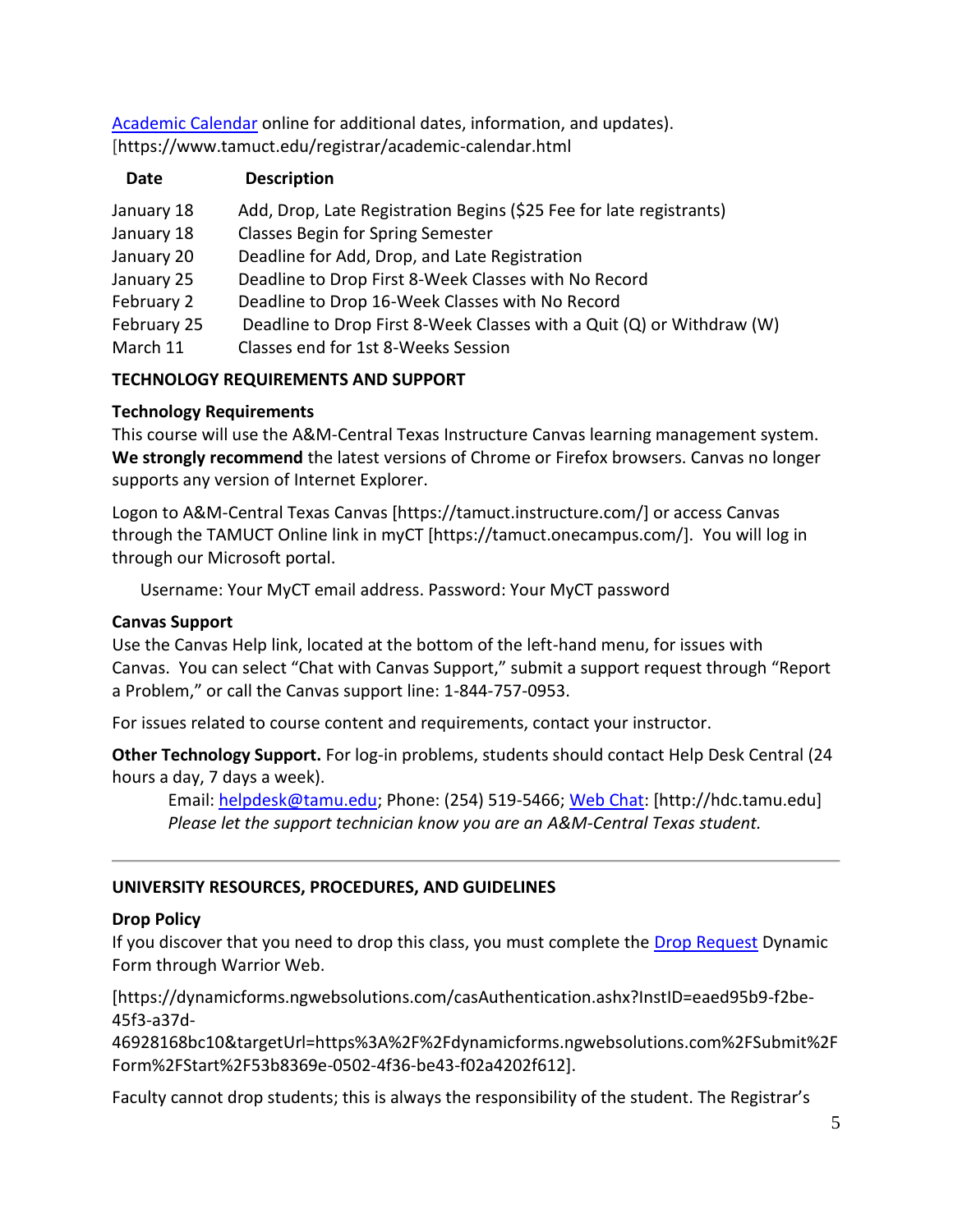[Academic Calendar](http://catalog.tamuct.edu/undergraduate_catalog/general-information/academic20calendars20and20final20exam20schedule/) online for additional dates, information, and updates). [https://www.tamuct.edu/registrar/academic-calendar.html

| Date        | <b>Description</b>                                                    |
|-------------|-----------------------------------------------------------------------|
| January 18  | Add, Drop, Late Registration Begins (\$25 Fee for late registrants)   |
| January 18  | <b>Classes Begin for Spring Semester</b>                              |
| January 20  | Deadline for Add, Drop, and Late Registration                         |
| January 25  | Deadline to Drop First 8-Week Classes with No Record                  |
| February 2  | Deadline to Drop 16-Week Classes with No Record                       |
| February 25 | Deadline to Drop First 8-Week Classes with a Quit (Q) or Withdraw (W) |
| March 11    | Classes end for 1st 8-Weeks Session                                   |
|             |                                                                       |

# **TECHNOLOGY REQUIREMENTS AND SUPPORT**

# **Technology Requirements**

This course will use the A&M-Central Texas Instructure Canvas learning management system. **We strongly recommend** the latest versions of Chrome or Firefox browsers. Canvas no longer supports any version of Internet Explorer.

Logon to A&M-Central Texas Canvas [https://tamuct.instructure.com/] or access Canvas through the TAMUCT Online link in myCT [https://tamuct.onecampus.com/]. You will log in through our Microsoft portal.

Username: Your MyCT email address. Password: Your MyCT password

## **Canvas Support**

Use the Canvas Help link, located at the bottom of the left-hand menu, for issues with Canvas. You can select "Chat with Canvas Support," submit a support request through "Report a Problem," or call the Canvas support line: 1-844-757-0953.

For issues related to course content and requirements, contact your instructor.

**Other Technology Support.** For log-in problems, students should contact Help Desk Central (24 hours a day, 7 days a week).

Email: [helpdesk@tamu.edu;](mailto:helpdesk@tamu.edu) Phone: (254) 519-5466[; Web Chat:](http://hdc.tamu.edu/) [http://hdc.tamu.edu] *Please let the support technician know you are an A&M-Central Texas student.*

# **UNIVERSITY RESOURCES, PROCEDURES, AND GUIDELINES**

# **Drop Policy**

If you discover that you need to drop this class, you must complete the [Drop Request](https://dynamicforms.ngwebsolutions.com/casAuthentication.ashx?InstID=eaed95b9-f2be-45f3-a37d-46928168bc10&targetUrl=https%3A%2F%2Fdynamicforms.ngwebsolutions.com%2FSubmit%2FForm%2FStart%2F53b8369e-0502-4f36-be43-f02a4202f612) Dynamic Form through Warrior Web.

[https://dynamicforms.ngwebsolutions.com/casAuthentication.ashx?InstID=eaed95b9-f2be-45f3-a37d-

46928168bc10&targetUrl=https%3A%2F%2Fdynamicforms.ngwebsolutions.com%2FSubmit%2F Form%2FStart%2F53b8369e-0502-4f36-be43-f02a4202f612].

Faculty cannot drop students; this is always the responsibility of the student. The Registrar's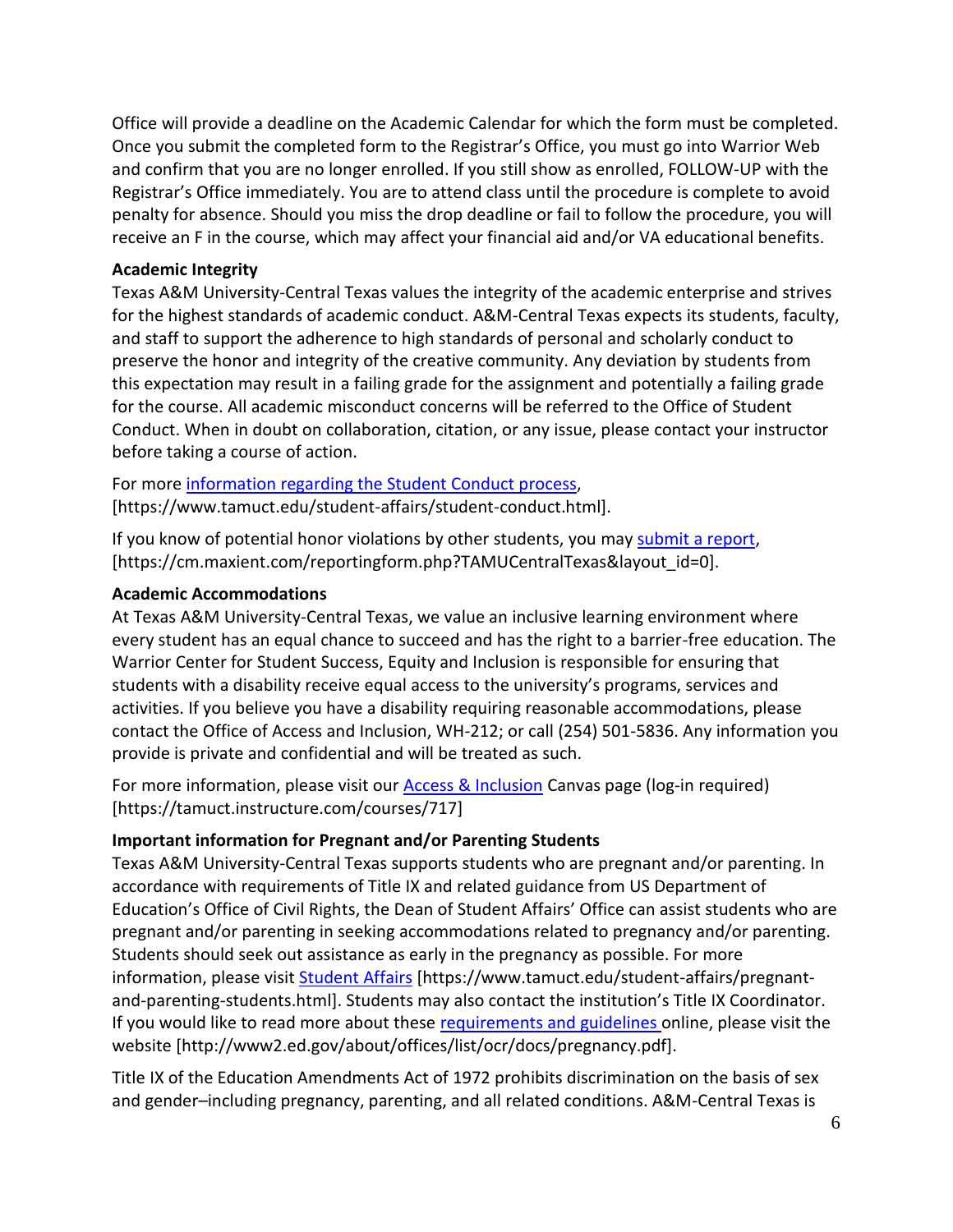Office will provide a deadline on the Academic Calendar for which the form must be completed. Once you submit the completed form to the Registrar's Office, you must go into Warrior Web and confirm that you are no longer enrolled. If you still show as enrolled, FOLLOW-UP with the Registrar's Office immediately. You are to attend class until the procedure is complete to avoid penalty for absence. Should you miss the drop deadline or fail to follow the procedure, you will receive an F in the course, which may affect your financial aid and/or VA educational benefits.

#### **Academic Integrity**

Texas A&M University-Central Texas values the integrity of the academic enterprise and strives for the highest standards of academic conduct. A&M-Central Texas expects its students, faculty, and staff to support the adherence to high standards of personal and scholarly conduct to preserve the honor and integrity of the creative community. Any deviation by students from this expectation may result in a failing grade for the assignment and potentially a failing grade for the course. All academic misconduct concerns will be referred to the Office of Student Conduct. When in doubt on collaboration, citation, or any issue, please contact your instructor before taking a course of action.

For more [information](https://nam04.safelinks.protection.outlook.com/?url=https%3A%2F%2Fwww.tamuct.edu%2Fstudent-affairs%2Fstudent-conduct.html&data=04%7C01%7Clisa.bunkowski%40tamuct.edu%7Ccfb6e486f24745f53e1a08d910055cb2%7C9eed4e3000f744849ff193ad8005acec%7C0%7C0%7C637558437485252160%7CUnknown%7CTWFpbGZsb3d8eyJWIjoiMC4wLjAwMDAiLCJQIjoiV2luMzIiLCJBTiI6Ik1haWwiLCJXVCI6Mn0%3D%7C1000&sdata=yjftDEVHvLX%2FhM%2FcFU0B99krV1RgEWR%2BJ%2BhvtoR6TYk%3D&reserved=0) regarding the Student Conduct process, [https://www.tamuct.edu/student-affairs/student-conduct.html].

If you know of potential honor violations by other students, you may [submit](https://nam04.safelinks.protection.outlook.com/?url=https%3A%2F%2Fcm.maxient.com%2Freportingform.php%3FTAMUCentralTexas%26layout_id%3D0&data=04%7C01%7Clisa.bunkowski%40tamuct.edu%7Ccfb6e486f24745f53e1a08d910055cb2%7C9eed4e3000f744849ff193ad8005acec%7C0%7C0%7C637558437485262157%7CUnknown%7CTWFpbGZsb3d8eyJWIjoiMC4wLjAwMDAiLCJQIjoiV2luMzIiLCJBTiI6Ik1haWwiLCJXVCI6Mn0%3D%7C1000&sdata=CXGkOa6uPDPX1IMZ87z3aZDq2n91xfHKu4MMS43Ejjk%3D&reserved=0) a report, [https://cm.maxient.com/reportingform.php?TAMUCentralTexas&layout\_id=0].

#### **Academic Accommodations**

At Texas A&M University-Central Texas, we value an inclusive learning environment where every student has an equal chance to succeed and has the right to a barrier-free education. The Warrior Center for Student Success, Equity and Inclusion is responsible for ensuring that students with a disability receive equal access to the university's programs, services and activities. If you believe you have a disability requiring reasonable accommodations, please contact the Office of Access and Inclusion, WH-212; or call (254) 501-5836. Any information you provide is private and confidential and will be treated as such.

For more information, please visit our **Access & Inclusion** Canvas page (log-in required) [https://tamuct.instructure.com/courses/717]

## **Important information for Pregnant and/or Parenting Students**

Texas A&M University-Central Texas supports students who are pregnant and/or parenting. In accordance with requirements of Title IX and related guidance from US Department of Education's Office of Civil Rights, the Dean of Student Affairs' Office can assist students who are pregnant and/or parenting in seeking accommodations related to pregnancy and/or parenting. Students should seek out assistance as early in the pregnancy as possible. For more information, please visit [Student Affairs](https://www.tamuct.edu/student-affairs/pregnant-and-parenting-students.html) [https://www.tamuct.edu/student-affairs/pregnantand-parenting-students.html]. Students may also contact the institution's Title IX Coordinator. If you would like to read more about these [requirements and guidelines](http://www2.ed.gov/about/offices/list/ocr/docs/pregnancy.pdf) online, please visit the website [http://www2.ed.gov/about/offices/list/ocr/docs/pregnancy.pdf].

Title IX of the Education Amendments Act of 1972 prohibits discrimination on the basis of sex and gender–including pregnancy, parenting, and all related conditions. A&M-Central Texas is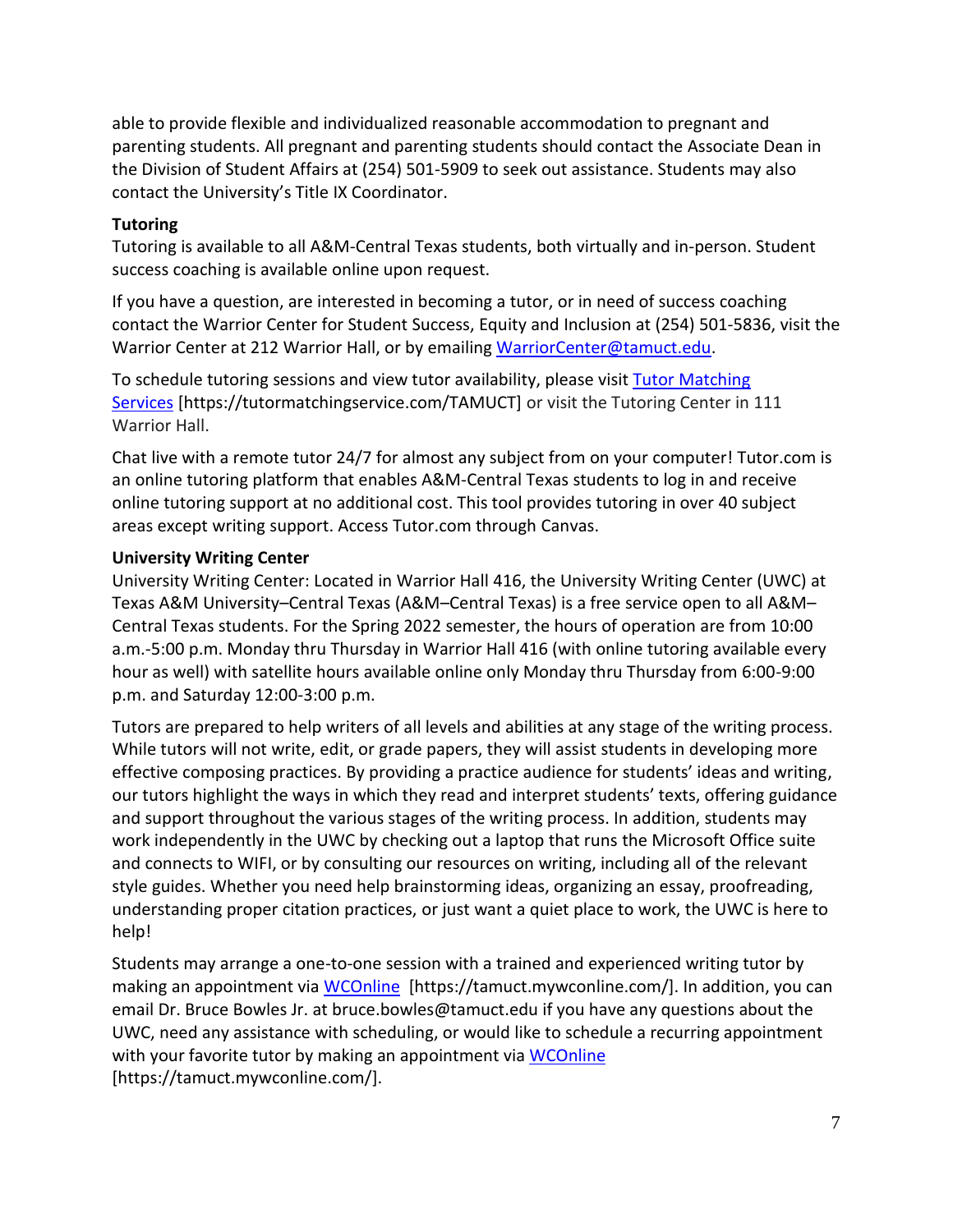able to provide flexible and individualized reasonable accommodation to pregnant and parenting students. All pregnant and parenting students should contact the Associate Dean in the Division of Student Affairs at (254) 501-5909 to seek out assistance. Students may also contact the University's Title IX Coordinator.

#### **Tutoring**

Tutoring is available to all A&M-Central Texas students, both virtually and in-person. Student success coaching is available online upon request.

If you have a question, are interested in becoming a tutor, or in need of success coaching contact the Warrior Center for Student Success, Equity and Inclusion at (254) 501-5836, visit the Warrior Center at 212 Warrior Hall, or by emailing [WarriorCenter@tamuct.edu.](mailto:WarriorCenter@tamuct.edu)

To schedule tutoring sessions and view tutor availability, please visit Tutor [Matching](https://tutormatchingservice.com/TAMUCT) [Services](https://tutormatchingservice.com/TAMUCT) [https://tutormatchingservice.com/TAMUCT] or visit the Tutoring Center in 111 Warrior Hall.

Chat live with a remote tutor 24/7 for almost any subject from on your computer! Tutor.com is an online tutoring platform that enables A&M-Central Texas students to log in and receive online tutoring support at no additional cost. This tool provides tutoring in over 40 subject areas except writing support. Access Tutor.com through Canvas.

#### **University Writing Center**

University Writing Center: Located in Warrior Hall 416, the University Writing Center (UWC) at Texas A&M University–Central Texas (A&M–Central Texas) is a free service open to all A&M– Central Texas students. For the Spring 2022 semester, the hours of operation are from 10:00 a.m.-5:00 p.m. Monday thru Thursday in Warrior Hall 416 (with online tutoring available every hour as well) with satellite hours available online only Monday thru Thursday from 6:00-9:00 p.m. and Saturday 12:00-3:00 p.m.

Tutors are prepared to help writers of all levels and abilities at any stage of the writing process. While tutors will not write, edit, or grade papers, they will assist students in developing more effective composing practices. By providing a practice audience for students' ideas and writing, our tutors highlight the ways in which they read and interpret students' texts, offering guidance and support throughout the various stages of the writing process. In addition, students may work independently in the UWC by checking out a laptop that runs the Microsoft Office suite and connects to WIFI, or by consulting our resources on writing, including all of the relevant style guides. Whether you need help brainstorming ideas, organizing an essay, proofreading, understanding proper citation practices, or just want a quiet place to work, the UWC is here to help!

Students may arrange a one-to-one session with a trained and experienced writing tutor by making an appointment via [WCOnline](https://tamuct.mywconline.com/) [https://tamuct.mywconline.com/]. In addition, you can email Dr. Bruce Bowles Jr. at bruce.bowles@tamuct.edu if you have any questions about the UWC, need any assistance with scheduling, or would like to schedule a recurring appointment with your favorite tutor by making an appointment via [WCOnline](https://tamuct.mywconline.com/) [https://tamuct.mywconline.com/].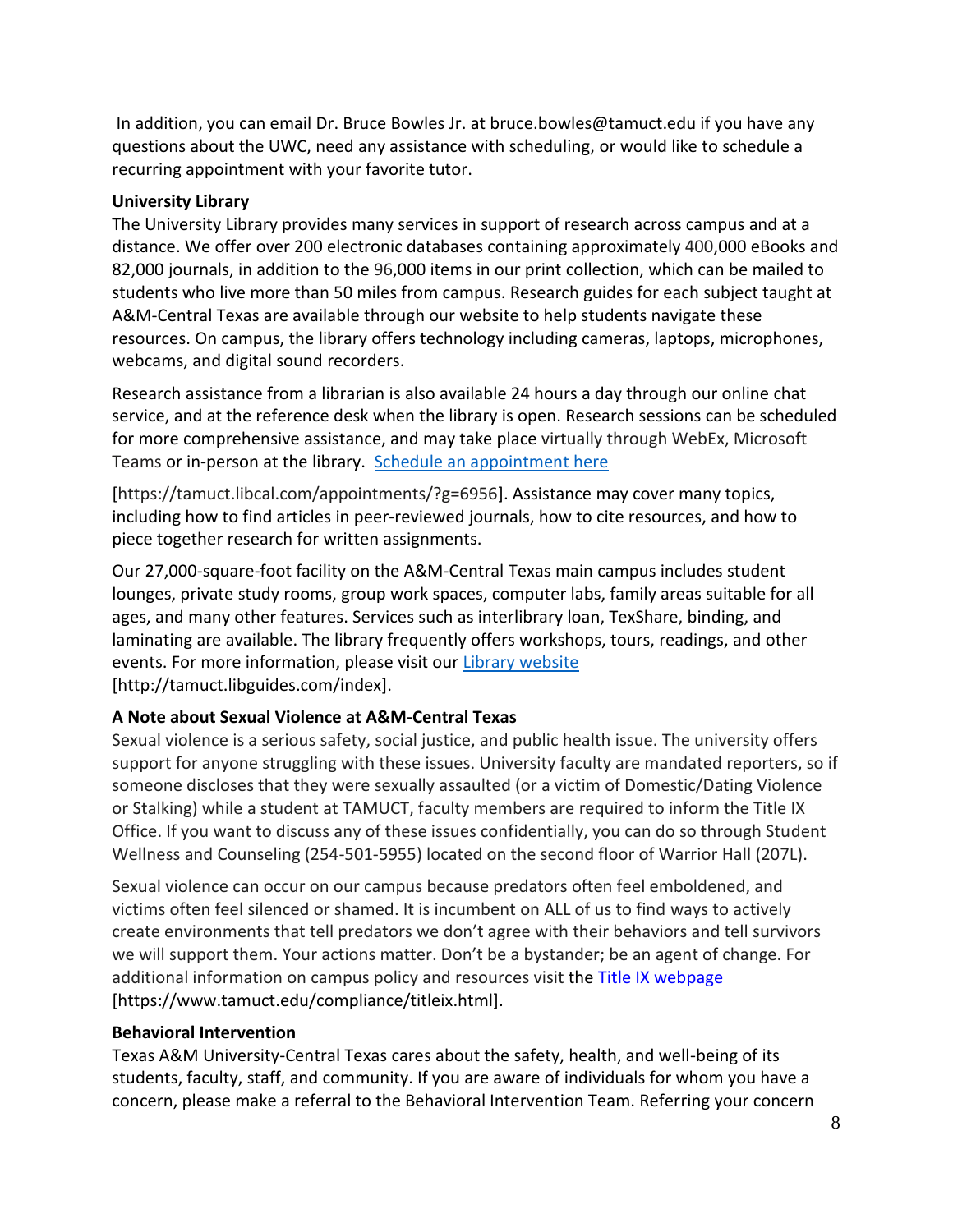In addition, you can email Dr. Bruce Bowles Jr. at bruce.bowles@tamuct.edu if you have any questions about the UWC, need any assistance with scheduling, or would like to schedule a recurring appointment with your favorite tutor.

#### **University Library**

The University Library provides many services in support of research across campus and at a distance. We offer over 200 electronic databases containing approximately 400,000 eBooks and 82,000 journals, in addition to the 96,000 items in our print collection, which can be mailed to students who live more than 50 miles from campus. Research guides for each subject taught at A&M-Central Texas are available through our website to help students navigate these resources. On campus, the library offers technology including cameras, laptops, microphones, webcams, and digital sound recorders.

Research assistance from a librarian is also available 24 hours a day through our online chat service, and at the reference desk when the library is open. Research sessions can be scheduled for more comprehensive assistance, and may take place virtually through WebEx, Microsoft Teams or in-person at the library. Schedule an [appointment](https://nam04.safelinks.protection.outlook.com/?url=https%3A%2F%2Ftamuct.libcal.com%2Fappointments%2F%3Fg%3D6956&data=04%7C01%7Clisa.bunkowski%40tamuct.edu%7Cde2c07d9f5804f09518008d9ab7ba6ff%7C9eed4e3000f744849ff193ad8005acec%7C0%7C0%7C637729369835011558%7CUnknown%7CTWFpbGZsb3d8eyJWIjoiMC4wLjAwMDAiLCJQIjoiV2luMzIiLCJBTiI6Ik1haWwiLCJXVCI6Mn0%3D%7C3000&sdata=KhtjgRSAw9aq%2FoBsB6wyu8b7PSuGN5EGPypzr3Ty2No%3D&reserved=0) here

[https://tamuct.libcal.com/appointments/?g=6956]. Assistance may cover many topics, including how to find articles in peer-reviewed journals, how to cite resources, and how to piece together research for written assignments.

Our 27,000-square-foot facility on the A&M-Central Texas main campus includes student lounges, private study rooms, group work spaces, computer labs, family areas suitable for all ages, and many other features. Services such as interlibrary loan, TexShare, binding, and laminating are available. The library frequently offers workshops, tours, readings, and other events. For more information, please visit our Library [website](https://nam04.safelinks.protection.outlook.com/?url=https%3A%2F%2Ftamuct.libguides.com%2Findex&data=04%7C01%7Clisa.bunkowski%40tamuct.edu%7C7d8489e8839a4915335f08d916f067f2%7C9eed4e3000f744849ff193ad8005acec%7C0%7C0%7C637566044056484222%7CUnknown%7CTWFpbGZsb3d8eyJWIjoiMC4wLjAwMDAiLCJQIjoiV2luMzIiLCJBTiI6Ik1haWwiLCJXVCI6Mn0%3D%7C1000&sdata=2R755V6rcIyedGrd4Os5rkgn1PvhHKU3kUV1vBKiHFo%3D&reserved=0) [http://tamuct.libguides.com/index].

## **A Note about Sexual Violence at A&M-Central Texas**

Sexual violence is a serious safety, social justice, and public health issue. The university offers support for anyone struggling with these issues. University faculty are mandated reporters, so if someone discloses that they were sexually assaulted (or a victim of Domestic/Dating Violence or Stalking) while a student at TAMUCT, faculty members are required to inform the Title IX Office. If you want to discuss any of these issues confidentially, you can do so through Student Wellness and Counseling (254-501-5955) located on the second floor of Warrior Hall (207L).

Sexual violence can occur on our campus because predators often feel emboldened, and victims often feel silenced or shamed. It is incumbent on ALL of us to find ways to actively create environments that tell predators we don't agree with their behaviors and tell survivors we will support them. Your actions matter. Don't be a bystander; be an agent of change. For additional information on campus policy and resources visit the [Title IX webpage](https://www.tamuct.edu/compliance/titleix.html) [https://www.tamuct.edu/compliance/titleix.html].

## **Behavioral Intervention**

Texas A&M University-Central Texas cares about the safety, health, and well-being of its students, faculty, staff, and community. If you are aware of individuals for whom you have a concern, please make a referral to the Behavioral Intervention Team. Referring your concern